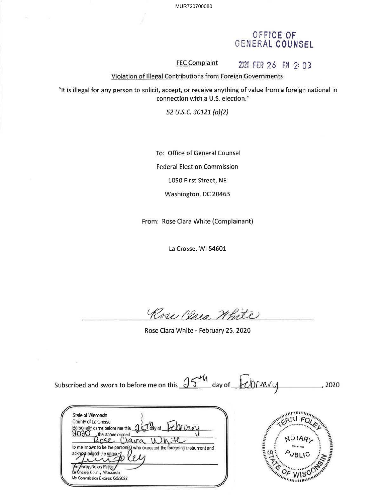# OFFlCE Of GENERAL **COUNSEL**

2020 FEB 26 PM 2: 03

**FEC Complaint** 

Violation of Illegal Contributions from Foreign Governments

"It is illegal for any person to solicit, accept, or receive anything of value from a foreign national in connection with a U.S. election."

52 U.S.C. 30121 (a)(2)

To: Office of General Counsel Federal Election Commission

1050 First Street, NE

Washington, DC 20463

From: Rose Clara White (Complainant)

La Crosse, WI 54601

Rose Clara White

Rose Clara White - February 25, 2020

Subscribed and sworn to before me on this day of *\_\_\_.lZ....-...b ...... r\_J().\_......:.......:{ ~::;J.....\_---~•* 2020

| State of Wisconsin                                                                                    |                |
|-------------------------------------------------------------------------------------------------------|----------------|
| County of La Crosse<br>Personally came before me this 25 day of February                              |                |
| the above named                                                                                       |                |
| Rose Clara                                                                                            |                |
| to me known to be the person(s) who executed the foregoing instrument and<br>acknowledged the same: 1 | $\rho_{UBL1C}$ |
|                                                                                                       |                |
| FerryFoley, Notary Public<br>Le Crosse County, Wisconsin                                              |                |
| My Commission Expires: 6/3/2022                                                                       | $u_{\rm damp}$ |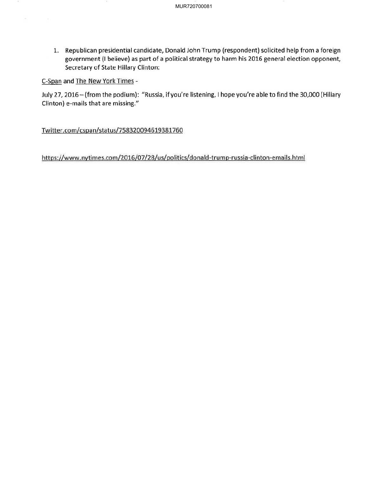1. Republican presidential candidate, Donald John Trump (respondent) solicited help from a foreign government (I believe) as part of a political strategy to harm his 2016 general election opponent, Secretary of State Hillary Clinton:

C-Span and The New York Times -

 $\alpha$  ,  $\alpha$  ,  $\alpha$  ,  $\alpha$  ,  $\alpha$ 

July 27, 2016- (from the podium): "Russia, if you're listening, I hope you're able to find the 30,000 (Hillary Clinton) e-mails that are missing."

Twitter.com/cspan/status/758320094619381760

https://www.nytimes.com/2016/07/28/us/politics/donald-trump-russia-clinton-emails.html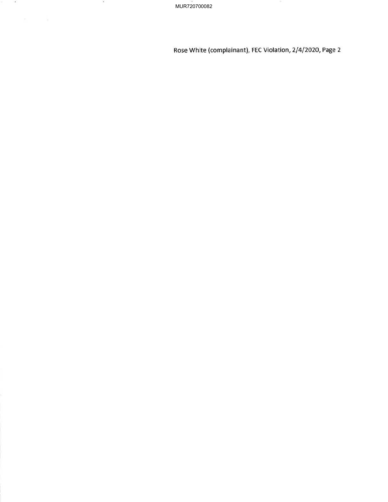$\sim 10^{-1}$ 

 $\sim$ 

Rose White (complainant), FEC Violation, 2/4/2020, Page 2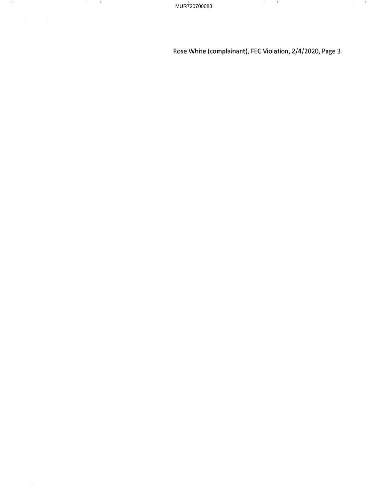$\sim$ 

 $\langle \hat{a} \rangle^2$ 

 $\sim$ 

Rose White (complainant), FEC Violation, 2/4/2020, Page 3

 $\label{eq:1.1} \mathcal{F}(\mathcal{F}) = \mathcal{F}(\mathcal{F})$ 

 $\pm 1$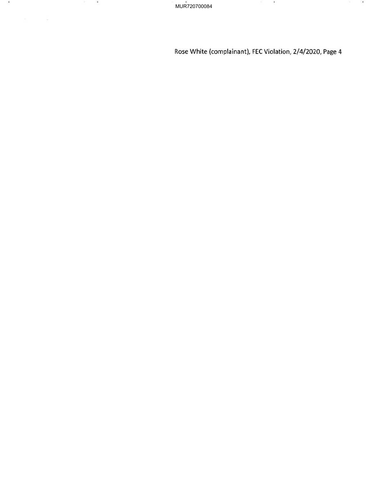$\mathcal{A}$ 

 $\mathcal{L}^{\mathcal{L}}(\mathcal{L}^{\mathcal{L}}(\mathcal{L}^{\mathcal{L}}(\mathcal{L}^{\mathcal{L}}(\mathcal{L}^{\mathcal{L}}(\mathcal{L}^{\mathcal{L}}(\mathcal{L}^{\mathcal{L}}(\mathcal{L}^{\mathcal{L}}(\mathcal{L}^{\mathcal{L}}(\mathcal{L}^{\mathcal{L}}(\mathcal{L}^{\mathcal{L}}(\mathcal{L}^{\mathcal{L}}(\mathcal{L}^{\mathcal{L}}(\mathcal{L}^{\mathcal{L}}(\mathcal{L}^{\mathcal{L}}(\mathcal{L}^{\mathcal{L}}(\mathcal{L}^{\mathcal{L$ 

Rose White (complainant), FEC Violation, 2/4/2020, Page 4

the control of the

 $\Delta$  :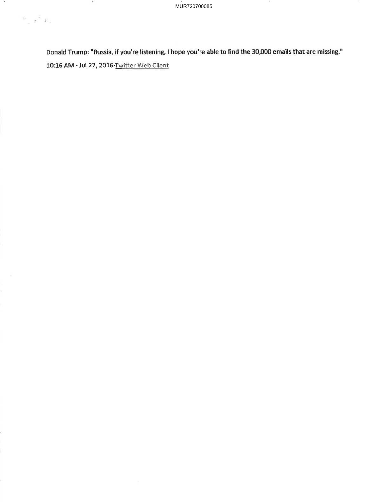$\sim$ 

 $\sim$ 

 $\sim -\frac{1}{2}$  .  $U_{\rm{in}}$ 

 $\sim$ 

Donald Trump: "Russia, if you're listening, I hope you're able to find the 30,000 emails that are missing." 10:16 AM· Jul 27, 2016·Twitter Web Client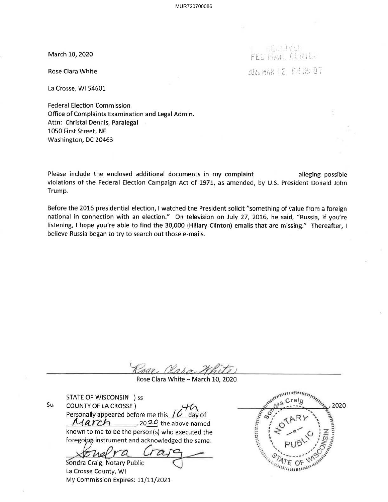March 10, 2020

Rose Clara White

la Crosse, WI 54601

Federal Election Commission Office of Complaints Examination and legal Admin. Attn: Christal Dennis, Paralegal 1050 First Street, NE Washington, DC 20463

Please include the enclosed additional documents in my complaint alleging possible violations of the Federal Election Campaign Act of 1971, as amended, by U.S. President Donald John Trump.

Before the 2016 presidential election, I watched the President solicit "something of value from a foreign national in connection with an election." On television on July 27, 2016, he said, "Russia, if you're listening, I hope you're able to find the 30,000 (Hillary Clinton) emails that are missing." Thereafter, I believe Russia began to try to search out those e-mails.

Rose Clara Whii

#### Rose Clara White - March 10, 2020

Su

STATE OF WISCONSIN ) ss COUNTY OF LA CROSSE)

Personally appeared before me this  $\overline{\smash{\bigtriangleup}}$  day of  $Markch$ , 2020, the above named known to me to be the person(s) who executed the foregoing instrument and acknowledged the same.

Sondra Craig, Notary Public La Crosse County, WI My Commission Expires: 11/11/2021



 $1$  y L'' f E. L i; t- <sup>~</sup>i : .. *(: ;::* j i <sup>I</sup>~ ,

NALHAR 12 FE12: 07